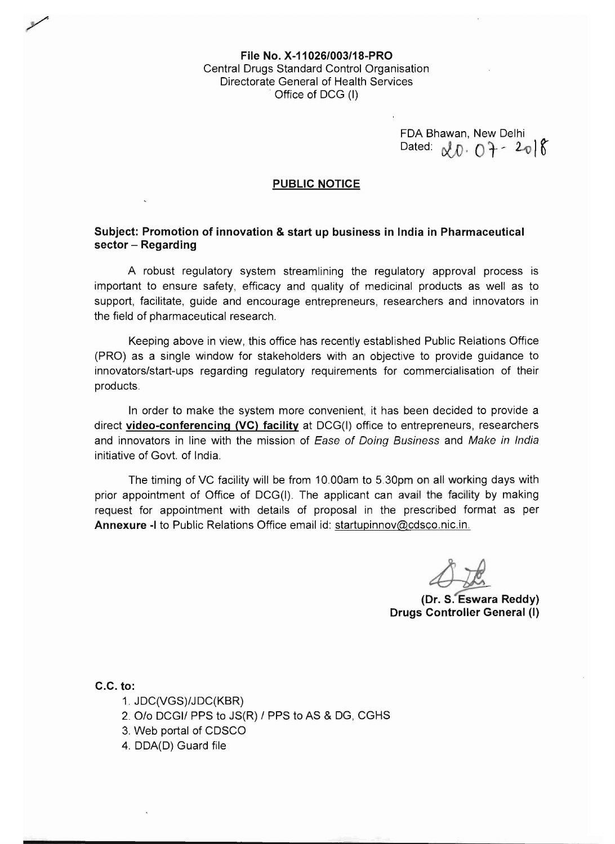File No. X-11026/003/18-PRO Central Drugs Standard Control Organisation Directorate General of Health Services Office of DCG (I)

FDA Bhawan, New Delhi Dated:  $\alpha D \cdot 0 + -208$ 

## PUBLIC NOTICE

## Subject: Promotion of innovation & start up business in India in Pharmaceutical sector - Regarding

A robust regulatory system streamlining the regulatory approval process is important to ensure safety, efficacy and quality of medicinal products as well as to support, facilitate, quide and encourage entrepreneurs, researchers and innovators in the field of pharmaceutical research.

Keeping above in view, this office has recently established Public Relations Office (PRO) as a single window for stakeholders with an objective to provide guidance to innovators/start-ups regarding regulatory requirements for commercialisation of their products.

In order to make the system more convenient, it has been decided to provide a direct video-conferencing (VC) facility at DCG(I) office to entrepreneurs, researchers and innovators in line with the mission of Ease of Doing Business and Make in India initiative of Govt. of India.

The timing of VC facility will be from 10.00am to 5.30pm on all working days with prior appointment of Office of DCG(I). The applicant can avail the facility by making request for appointment with details of proposal in the prescribed format as per Annexure -I to Public Relations Office email id: startupinnov@cdsco.nic.in.

4ji (Dr. S. Eswara Reddy)

Drugs Controller General (I)

C.C. to:

- 1. JDC(VGS)/JDC(KBR)
- 2. O/o DCGI/ PPS to JS(R) / PPS to AS & DG, CGHS
- 3. Web portal of CDSCO
- 4. DDA(D) Guard file